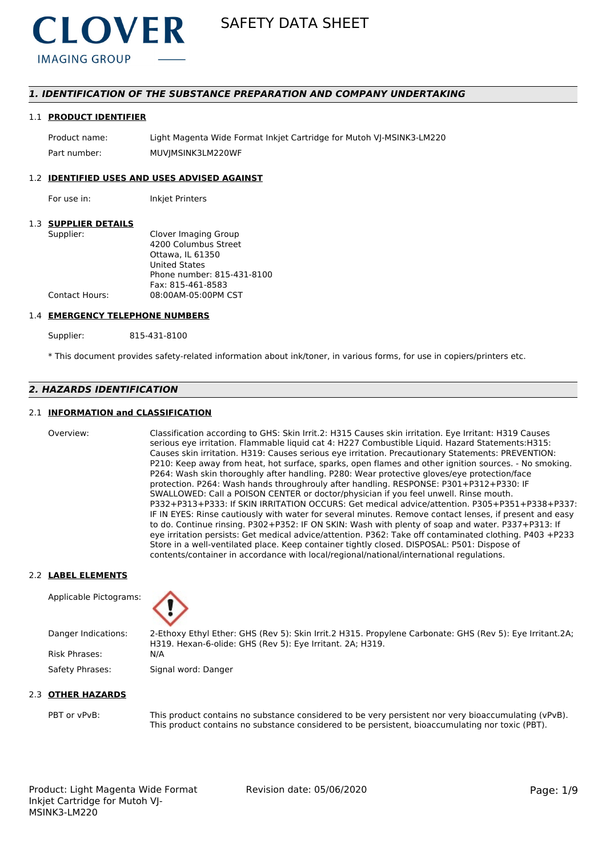

# *1. IDENTIFICATION OF THE SUBSTANCE PREPARATION AND COMPANY UNDERTAKING*

#### 1.1 **PRODUCT IDENTIFIER**

Product name: Light Magenta Wide Format Inkjet Cartridge for Mutoh VJ-MSINK3-LM220 Part number: MUVIMSINK3LM220WF

# 1.2 **IDENTIFIED USES AND USES ADVISED AGAINST**

For use in: Inkjet Printers

# 1.3 **SUPPLIER DETAILS**

| Supplier:      | Clover Imaging Group       |
|----------------|----------------------------|
|                | 4200 Columbus Street       |
|                | Ottawa. IL 61350           |
|                | <b>United States</b>       |
|                | Phone number: 815-431-8100 |
|                | Fax: 815-461-8583          |
| Contact Hours: | 08:00AM-05:00PM CST        |
|                |                            |

#### 1.4 **EMERGENCY TELEPHONE NUMBERS**

Supplier: 815-431-8100

\* This document provides safety-related information about ink/toner, in various forms, for use in copiers/printers etc.

# *2. HAZARDS IDENTIFICATION*

# 2.1 **INFORMATION and CLASSIFICATION**

Overview: Classification according to GHS: Skin Irrit.2: H315 Causes skin irritation. Eye Irritant: H319 Causes serious eye irritation. Flammable liquid cat 4: H227 Combustible Liquid. Hazard Statements:H315: Causes skin irritation. H319: Causes serious eye irritation. Precautionary Statements: PREVENTION: P210: Keep away from heat, hot surface, sparks, open flames and other ignition sources. - No smoking. P264: Wash skin thoroughly after handling. P280: Wear protective gloves/eye protection/face protection. P264: Wash hands throughrouly after handling. RESPONSE: P301+P312+P330: IF SWALLOWED: Call a POISON CENTER or doctor/physician if you feel unwell. Rinse mouth. P332+P313+P333: If SKIN IRRITATION OCCURS: Get medical advice/attention. P305+P351+P338+P337: IF IN EYES: Rinse cautiously with water for several minutes. Remove contact lenses, if present and easy to do. Continue rinsing. P302+P352: IF ON SKIN: Wash with plenty of soap and water. P337+P313: If eye irritation persists: Get medical advice/attention. P362: Take off contaminated clothing. P403 +P233 Store in a well-ventilated place. Keep container tightly closed. DISPOSAL: P501: Dispose of contents/container in accordance with local/regional/national/international regulations.

#### 2.2 **LABEL ELEMENTS**

Applicable Pictograms:



Danger Indications: 2-Ethoxy Ethyl Ether: GHS (Rev 5): Skin Irrit.2 H315. Propylene Carbonate: GHS (Rev 5): Eye Irritant.2A; H319. Hexan-6-olide: GHS (Rev 5): Eye Irritant. 2A; H319. Risk Phrases: N/A

Safety Phrases: Signal word: Danger

#### 2.3 **OTHER HAZARDS**

PBT or vPvB: This product contains no substance considered to be very persistent nor very bioaccumulating (vPvB). This product contains no substance considered to be persistent, bioaccumulating nor toxic (PBT).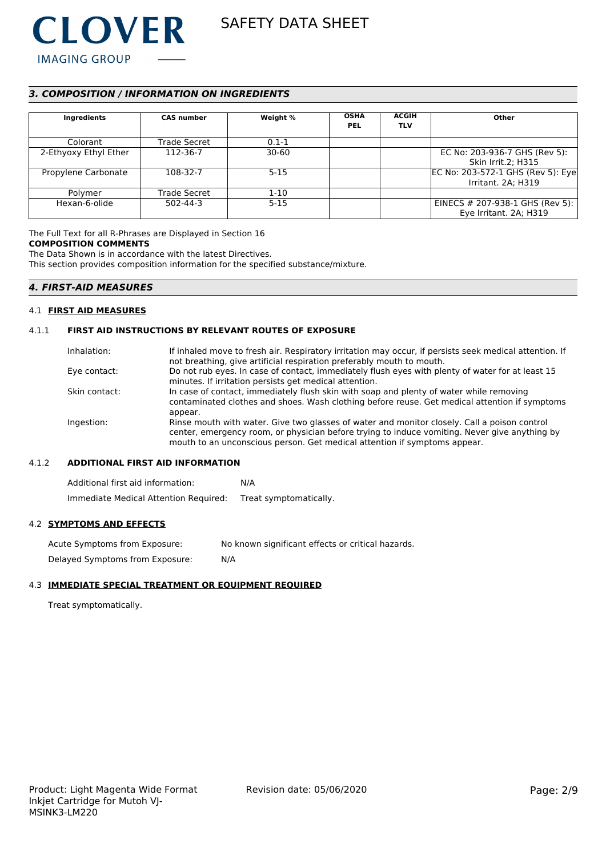

# *3. COMPOSITION / INFORMATION ON INGREDIENTS*

| Ingredients           | <b>CAS number</b> | Weight %  | <b>OSHA</b><br><b>PEL</b> | <b>ACGIH</b><br><b>TLV</b> | Other                              |
|-----------------------|-------------------|-----------|---------------------------|----------------------------|------------------------------------|
| Colorant              | Trade Secret      | $0.1 - 1$ |                           |                            |                                    |
| 2-Ethyoxy Ethyl Ether | 112-36-7          | $30 - 60$ |                           |                            | EC No: 203-936-7 GHS (Rev 5):      |
|                       |                   |           |                           |                            | <b>Skin Irrit.2; H315</b>          |
| Propylene Carbonate   | 108-32-7          | $5 - 15$  |                           |                            | EC No: 203-572-1 GHS (Rev 5): Eye  |
|                       |                   |           |                           |                            | Irritant. 2A; H319                 |
| Polymer               | Trade Secret      | $1 - 10$  |                           |                            |                                    |
| Hexan-6-olide         | 502-44-3          | $5 - 15$  |                           |                            | EINECS $\#$ 207-938-1 GHS (Rev 5): |
|                       |                   |           |                           |                            | Eye Irritant. 2A; H319             |

# The Full Text for all R-Phrases are Displayed in Section 16

# **COMPOSITION COMMENTS**

The Data Shown is in accordance with the latest Directives.

This section provides composition information for the specified substance/mixture.

# *4. FIRST-AID MEASURES*

#### 4.1 **FIRST AID MEASURES**

### 4.1.1 **FIRST AID INSTRUCTIONS BY RELEVANT ROUTES OF EXPOSURE**

| Inhalation:   | If inhaled move to fresh air. Respiratory irritation may occur, if persists seek medical attention. If<br>not breathing, give artificial respiration preferably mouth to mouth.                                                                                            |
|---------------|----------------------------------------------------------------------------------------------------------------------------------------------------------------------------------------------------------------------------------------------------------------------------|
| Eye contact:  | Do not rub eyes. In case of contact, immediately flush eyes with plenty of water for at least 15<br>minutes. If irritation persists get medical attention.                                                                                                                 |
| Skin contact: | In case of contact, immediately flush skin with soap and plenty of water while removing<br>contaminated clothes and shoes. Wash clothing before reuse. Get medical attention if symptoms<br>appear.                                                                        |
| Ingestion:    | Rinse mouth with water. Give two glasses of water and monitor closely. Call a poison control<br>center, emergency room, or physician before trying to induce vomiting. Never give anything by<br>mouth to an unconscious person. Get medical attention if symptoms appear. |

# 4.1.2 **ADDITIONAL FIRST AID INFORMATION**

Additional first aid information: N/A Immediate Medical Attention Required: Treat symptomatically.

#### 4.2 **SYMPTOMS AND EFFECTS**

Acute Symptoms from Exposure: No known significant effects or critical hazards. Delayed Symptoms from Exposure: N/A

# 4.3 **IMMEDIATE SPECIAL TREATMENT OR EQUIPMENT REQUIRED**

Treat symptomatically.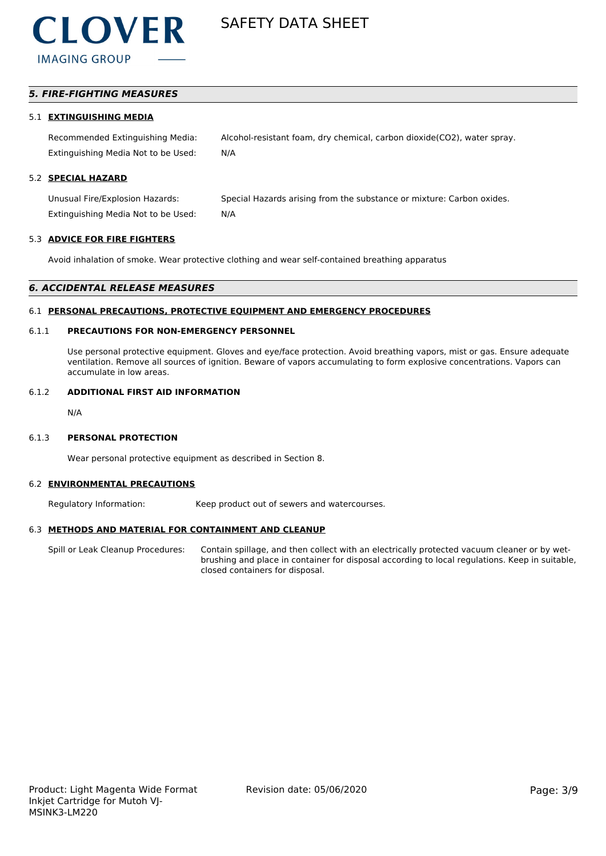

# *5. FIRE-FIGHTING MEASURES*

#### 5.1 **EXTINGUISHING MEDIA**

Recommended Extinguishing Media: Alcohol-resistant foam, dry chemical, carbon dioxide(CO2), water spray. Extinguishing Media Not to be Used: N/A

# 5.2 **SPECIAL HAZARD**

Unusual Fire/Explosion Hazards: Special Hazards arising from the substance or mixture: Carbon oxides. Extinguishing Media Not to be Used: N/A

#### 5.3 **ADVICE FOR FIRE FIGHTERS**

Avoid inhalation of smoke. Wear protective clothing and wear self-contained breathing apparatus

#### *6. ACCIDENTAL RELEASE MEASURES*

#### 6.1 **PERSONAL PRECAUTIONS, PROTECTIVE EQUIPMENT AND EMERGENCY PROCEDURES**

## 6.1.1 **PRECAUTIONS FOR NON-EMERGENCY PERSONNEL**

Use personal protective equipment. Gloves and eye/face protection. Avoid breathing vapors, mist or gas. Ensure adequate ventilation. Remove all sources of ignition. Beware of vapors accumulating to form explosive concentrations. Vapors can accumulate in low areas.

#### 6.1.2 **ADDITIONAL FIRST AID INFORMATION**

N/A

#### 6.1.3 **PERSONAL PROTECTION**

Wear personal protective equipment as described in Section 8.

#### 6.2 **ENVIRONMENTAL PRECAUTIONS**

Regulatory Information: Keep product out of sewers and watercourses.

#### 6.3 **METHODS AND MATERIAL FOR CONTAINMENT AND CLEANUP**

Spill or Leak Cleanup Procedures: Contain spillage, and then collect with an electrically protected vacuum cleaner or by wetbrushing and place in container for disposal according to local regulations. Keep in suitable, closed containers for disposal.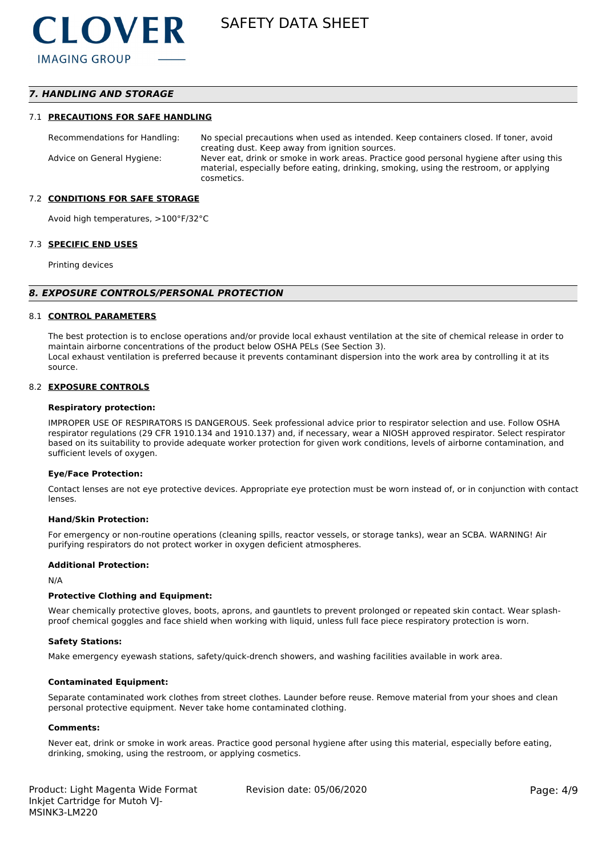# *7. HANDLING AND STORAGE*

#### 7.1 **PRECAUTIONS FOR SAFE HANDLING**

Recommendations for Handling: No special precautions when used as intended. Keep containers closed. If toner, avoid creating dust. Keep away from ignition sources. Advice on General Hygiene: Never eat, drink or smoke in work areas. Practice good personal hygiene after using this material, especially before eating, drinking, smoking, using the restroom, or applying cosmetics.

#### 7.2 **CONDITIONS FOR SAFE STORAGE**

Avoid high temperatures, >100°F/32°C

#### 7.3 **SPECIFIC END USES**

Printing devices

#### *8. EXPOSURE CONTROLS/PERSONAL PROTECTION*

#### 8.1 **CONTROL PARAMETERS**

The best protection is to enclose operations and/or provide local exhaust ventilation at the site of chemical release in order to maintain airborne concentrations of the product below OSHA PELs (See Section 3). Local exhaust ventilation is preferred because it prevents contaminant dispersion into the work area by controlling it at its source.

#### 8.2 **EXPOSURE CONTROLS**

#### **Respiratory protection:**

IMPROPER USE OF RESPIRATORS IS DANGEROUS. Seek professional advice prior to respirator selection and use. Follow OSHA respirator regulations (29 CFR 1910.134 and 1910.137) and, if necessary, wear a NIOSH approved respirator. Select respirator based on its suitability to provide adequate worker protection for given work conditions, levels of airborne contamination, and sufficient levels of oxygen.

#### **Eye/Face Protection:**

Contact lenses are not eye protective devices. Appropriate eye protection must be worn instead of, or in conjunction with contact lenses.

#### **Hand/Skin Protection:**

For emergency or non-routine operations (cleaning spills, reactor vessels, or storage tanks), wear an SCBA. WARNING! Air purifying respirators do not protect worker in oxygen deficient atmospheres.

#### **Additional Protection:**

N/A

#### **Protective Clothing and Equipment:**

Wear chemically protective gloves, boots, aprons, and gauntlets to prevent prolonged or repeated skin contact. Wear splashproof chemical goggles and face shield when working with liquid, unless full face piece respiratory protection is worn.

#### **Safety Stations:**

Make emergency eyewash stations, safety/quick-drench showers, and washing facilities available in work area.

#### **Contaminated Equipment:**

Separate contaminated work clothes from street clothes. Launder before reuse. Remove material from your shoes and clean personal protective equipment. Never take home contaminated clothing.

#### **Comments:**

Never eat, drink or smoke in work areas. Practice good personal hygiene after using this material, especially before eating, drinking, smoking, using the restroom, or applying cosmetics.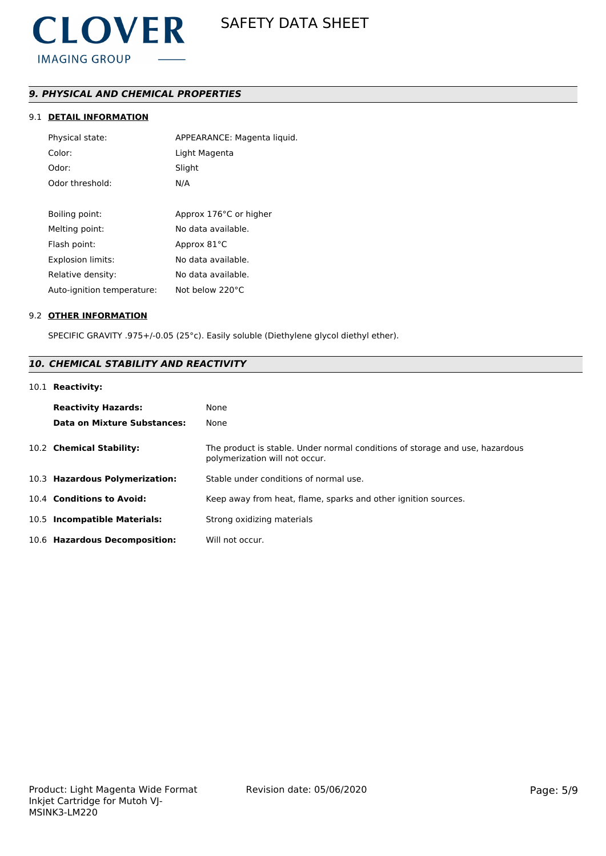

# *9. PHYSICAL AND CHEMICAL PROPERTIES*

# 9.1 **DETAIL INFORMATION**

| Physical state:            | APPEARANCE: Magenta liquid. |
|----------------------------|-----------------------------|
| Color:                     | Light Magenta               |
| Odor:                      | Slight                      |
| Odor threshold:            | N/A                         |
|                            |                             |
| Boiling point:             | Approx 176°C or higher      |
| Melting point:             | No data available.          |
| Flash point:               | Approx 81°C                 |
| <b>Explosion limits:</b>   | No data available.          |
| Relative density:          | No data available.          |
| Auto-ignition temperature: | Not below 220°C             |

#### 9.2 **OTHER INFORMATION**

SPECIFIC GRAVITY .975+/-0.05 (25°c). Easily soluble (Diethylene glycol diethyl ether).

# *10. CHEMICAL STABILITY AND REACTIVITY*

# 10.1 **Reactivity:**

| <b>Reactivity Hazards:</b><br>Data on Mixture Substances: | None<br>None                                                                                                   |
|-----------------------------------------------------------|----------------------------------------------------------------------------------------------------------------|
| 10.2 Chemical Stability:                                  | The product is stable. Under normal conditions of storage and use, hazardous<br>polymerization will not occur. |
| 10.3 Hazardous Polymerization:                            | Stable under conditions of normal use.                                                                         |
| 10.4 Conditions to Avoid:                                 | Keep away from heat, flame, sparks and other ignition sources.                                                 |
| 10.5 Incompatible Materials:                              | Strong oxidizing materials                                                                                     |
| 10.6 Hazardous Decomposition:                             | Will not occur.                                                                                                |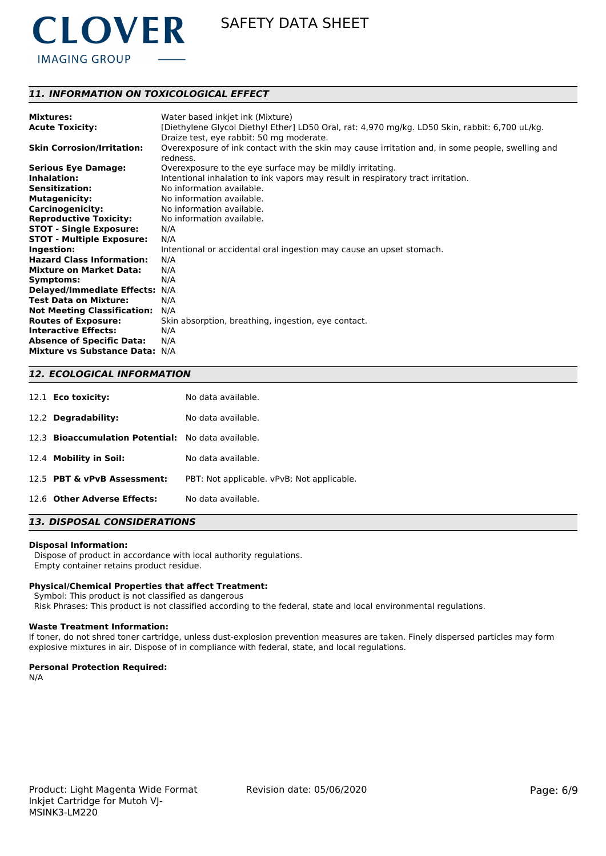

# *11. INFORMATION ON TOXICOLOGICAL EFFECT*

| <b>Mixtures:</b>                   | Water based inkjet ink (Mixture)                                                                             |
|------------------------------------|--------------------------------------------------------------------------------------------------------------|
| <b>Acute Toxicity:</b>             | [Diethylene Glycol Diethyl Ether] LD50 Oral, rat: 4,970 mg/kg. LD50 Skin, rabbit: 6,700 uL/kg.               |
|                                    | Draize test, eye rabbit: 50 mg moderate.                                                                     |
| <b>Skin Corrosion/Irritation:</b>  | Overexposure of ink contact with the skin may cause irritation and, in some people, swelling and<br>redness. |
| <b>Serious Eye Damage:</b>         | Overexposure to the eye surface may be mildly irritating.                                                    |
| Inhalation:                        | Intentional inhalation to ink vapors may result in respiratory tract irritation.                             |
| <b>Sensitization:</b>              | No information available.                                                                                    |
| <b>Mutagenicity:</b>               | No information available.                                                                                    |
| <b>Carcinogenicity:</b>            | No information available.                                                                                    |
| <b>Reproductive Toxicity:</b>      | No information available.                                                                                    |
| <b>STOT - Single Exposure:</b>     | N/A                                                                                                          |
| <b>STOT - Multiple Exposure:</b>   | N/A                                                                                                          |
| Ingestion:                         | Intentional or accidental oral ingestion may cause an upset stomach.                                         |
| <b>Hazard Class Information:</b>   | N/A                                                                                                          |
| <b>Mixture on Market Data:</b>     | N/A                                                                                                          |
| Symptoms:                          | N/A                                                                                                          |
| <b>Delayed/Immediate Effects:</b>  | N/A                                                                                                          |
| <b>Test Data on Mixture:</b>       | N/A                                                                                                          |
| <b>Not Meeting Classification:</b> | N/A                                                                                                          |
| <b>Routes of Exposure:</b>         | Skin absorption, breathing, ingestion, eye contact.                                                          |
| <b>Interactive Effects:</b>        | N/A                                                                                                          |
| <b>Absence of Specific Data:</b>   | N/A                                                                                                          |
| <b>Mixture vs Substance Data:</b>  | N/A                                                                                                          |

### *12. ECOLOGICAL INFORMATION*

| 12.1 <b>Eco toxicity:</b>                          | No data available.                         |
|----------------------------------------------------|--------------------------------------------|
| Degradability:<br>12.2                             | No data available.                         |
| 12.3 Bioaccumulation Potential: No data available. |                                            |
| 12.4 Mobility in Soil:                             | No data available.                         |
| 12.5 PBT & vPvB Assessment:                        | PBT: Not applicable. vPvB: Not applicable. |
| 12.6 Other Adverse Effects:                        | No data available.                         |

# *13. DISPOSAL CONSIDERATIONS*

#### **Disposal Information:**

 Dispose of product in accordance with local authority regulations. Empty container retains product residue.

#### **Physical/Chemical Properties that affect Treatment:**

Symbol: This product is not classified as dangerous

Risk Phrases: This product is not classified according to the federal, state and local environmental regulations.

#### **Waste Treatment Information:**

If toner, do not shred toner cartridge, unless dust-explosion prevention measures are taken. Finely dispersed particles may form explosive mixtures in air. Dispose of in compliance with federal, state, and local regulations.

#### **Personal Protection Required:**

N/A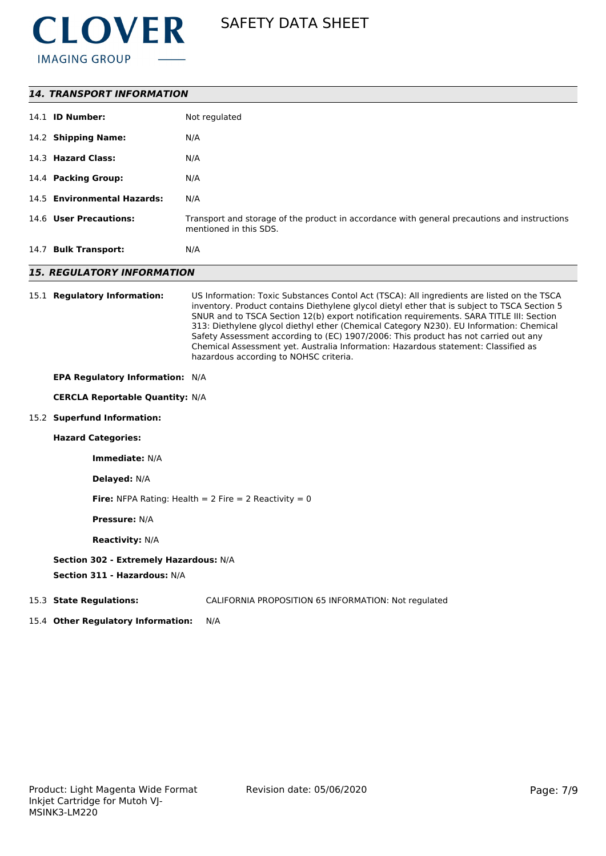

| <b>14. TRANSPORT INFORMATION</b>                                       |                                                                                                                                                                                                                                                                                                                                                                                                                                                                                                                                                                                                          |  |  |
|------------------------------------------------------------------------|----------------------------------------------------------------------------------------------------------------------------------------------------------------------------------------------------------------------------------------------------------------------------------------------------------------------------------------------------------------------------------------------------------------------------------------------------------------------------------------------------------------------------------------------------------------------------------------------------------|--|--|
| 14.1 <b>ID Number:</b>                                                 | Not regulated                                                                                                                                                                                                                                                                                                                                                                                                                                                                                                                                                                                            |  |  |
| 14.2 Shipping Name:                                                    | N/A                                                                                                                                                                                                                                                                                                                                                                                                                                                                                                                                                                                                      |  |  |
| 14.3 Hazard Class:                                                     | N/A                                                                                                                                                                                                                                                                                                                                                                                                                                                                                                                                                                                                      |  |  |
| 14.4 Packing Group:                                                    | N/A                                                                                                                                                                                                                                                                                                                                                                                                                                                                                                                                                                                                      |  |  |
| 14.5 Environmental Hazards:                                            | N/A                                                                                                                                                                                                                                                                                                                                                                                                                                                                                                                                                                                                      |  |  |
| 14.6 User Precautions:                                                 | Transport and storage of the product in accordance with general precautions and instructions<br>mentioned in this SDS.                                                                                                                                                                                                                                                                                                                                                                                                                                                                                   |  |  |
| 14.7 Bulk Transport:                                                   | N/A                                                                                                                                                                                                                                                                                                                                                                                                                                                                                                                                                                                                      |  |  |
| <b>15. REGULATORY INFORMATION</b>                                      |                                                                                                                                                                                                                                                                                                                                                                                                                                                                                                                                                                                                          |  |  |
| 15.1 Regulatory Information:                                           | US Information: Toxic Substances Contol Act (TSCA): All ingredients are listed on the TSCA<br>inventory. Product contains Diethylene glycol dietyl ether that is subject to TSCA Section 5<br>SNUR and to TSCA Section 12(b) export notification requirements. SARA TITLE III: Section<br>313: Diethylene glycol diethyl ether (Chemical Category N230). EU Information: Chemical<br>Safety Assessment according to (EC) 1907/2006: This product has not carried out any<br>Chemical Assessment yet. Australia Information: Hazardous statement: Classified as<br>hazardous according to NOHSC criteria. |  |  |
| EPA Regulatory Information: N/A                                        |                                                                                                                                                                                                                                                                                                                                                                                                                                                                                                                                                                                                          |  |  |
| <b>CERCLA Reportable Quantity: N/A</b>                                 |                                                                                                                                                                                                                                                                                                                                                                                                                                                                                                                                                                                                          |  |  |
| 15.2 Superfund Information:                                            |                                                                                                                                                                                                                                                                                                                                                                                                                                                                                                                                                                                                          |  |  |
| <b>Hazard Categories:</b>                                              |                                                                                                                                                                                                                                                                                                                                                                                                                                                                                                                                                                                                          |  |  |
| Immediate: N/A                                                         |                                                                                                                                                                                                                                                                                                                                                                                                                                                                                                                                                                                                          |  |  |
| Delayed: N/A                                                           |                                                                                                                                                                                                                                                                                                                                                                                                                                                                                                                                                                                                          |  |  |
| <b>Fire:</b> NFPA Rating: Health = $2$ Fire = $2$ Reactivity = 0       |                                                                                                                                                                                                                                                                                                                                                                                                                                                                                                                                                                                                          |  |  |
| <b>Pressure: N/A</b>                                                   |                                                                                                                                                                                                                                                                                                                                                                                                                                                                                                                                                                                                          |  |  |
| <b>Reactivity: N/A</b>                                                 |                                                                                                                                                                                                                                                                                                                                                                                                                                                                                                                                                                                                          |  |  |
| Section 302 - Extremely Hazardous: N/A<br>Section 311 - Hazardous: N/A |                                                                                                                                                                                                                                                                                                                                                                                                                                                                                                                                                                                                          |  |  |
| 15.3 State Regulations:                                                | CALIFORNIA PROPOSITION 65 INFORMATION: Not regulated                                                                                                                                                                                                                                                                                                                                                                                                                                                                                                                                                     |  |  |

15.4 **Other Regulatory Information:** N/A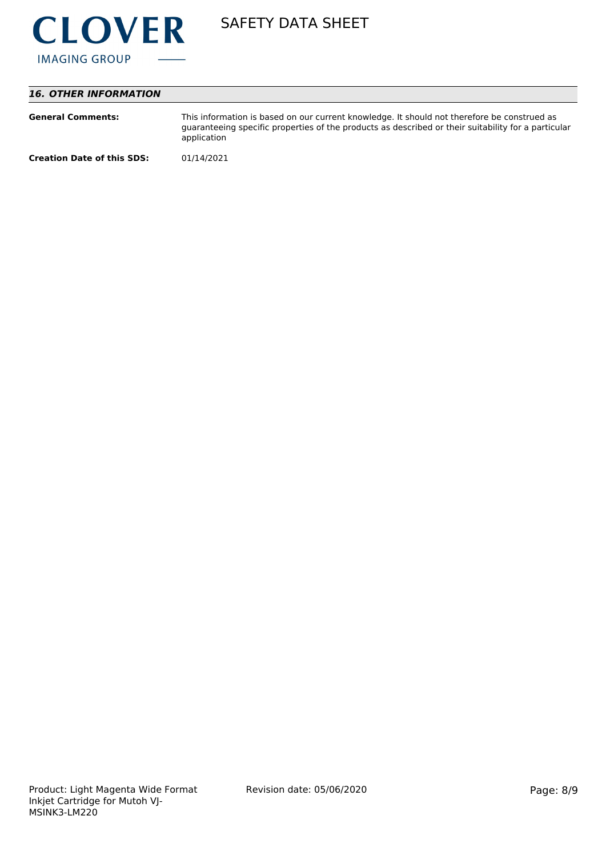

# *16. OTHER INFORMATION*

| <b>General Comments:</b>          | This information is based on our current knowledge. It should not therefore be construed as<br>guaranteeing specific properties of the products as described or their suitability for a particular<br>application |
|-----------------------------------|-------------------------------------------------------------------------------------------------------------------------------------------------------------------------------------------------------------------|
| <b>Creation Date of this SDS:</b> | 01/14/2021                                                                                                                                                                                                        |